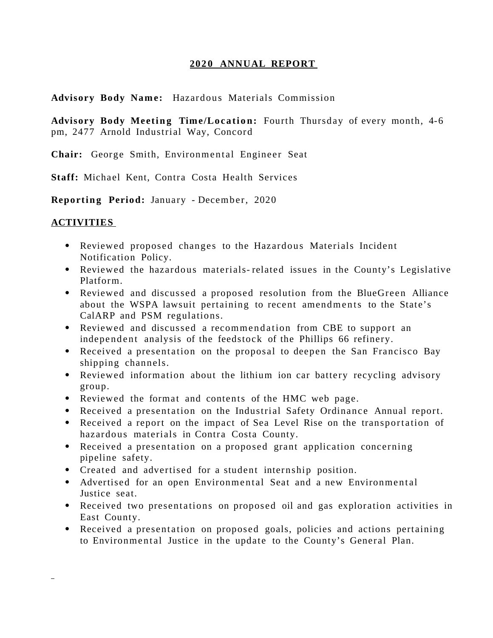### 2020 ANNUAL REPORT

**Advisory Body Nam e:** Hazardous Materials Commission

Advisory Body Meeting Time/Location: Fourth Thursday of every month, 4-6 pm, 2477 Arnold Industrial Way, Concord

Chair: George Smith, Environmental Engineer Seat

**Staff:** Michael Kent, Contra Costa Health Services

**Reportin g Period:** January - December, 2020

### **ACTIVITIES**

- Reviewed proposed changes to the Hazardous Materials Incident Notification Policy.
- Reviewed the hazardous materials- related issues in the County's Legislative Platform.
- Reviewed and discussed a proposed resolution from the BlueGreen Alliance about the WSPA lawsuit pertaining to recent amendments to the State's CalARP and PSM regulations.
- Reviewed and discussed a recommendation from CBE to support an independent analysis of the feedstock of the Phillips 66 refinery.
- Received a presentation on the proposal to deepen the San Francisco Bay shipping channels.
- Reviewed information about the lithium ion car battery recycling advisory group.
- Reviewed the format and contents of the HMC web page.
- Received a presentation on the Industrial Safety Ordinance Annual report.
- Received a report on the impact of Sea Level Rise on the transportation of hazardous materials in Contra Costa County.
- Received a presentation on a proposed grant application concerning pipeline safety.
- Created and advertised for a student internship position.
- Advertised for an open Environmental Seat and a new Environmental Justice seat.
- Received two presentations on proposed oil and gas exploration activities in East County.
- Received a presentation on proposed goals, policies and actions pertaining to Environmental Justice in the update to the County's General Plan.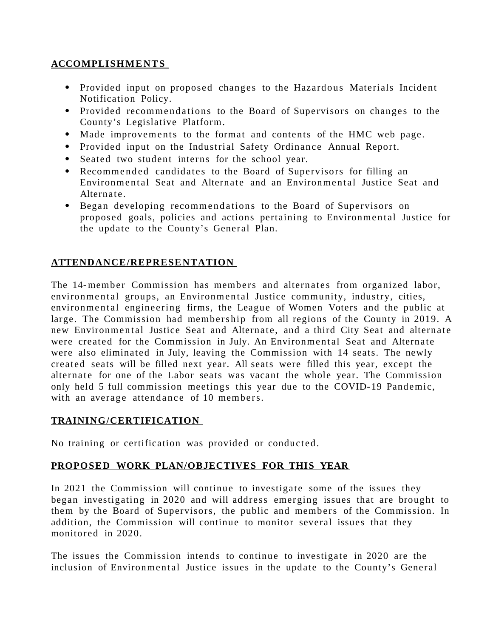# **ACCOMPLISH ME NT S**

- Provided input on proposed changes to the Hazardous Materials Incident Notification Policy.
- Provided recommendations to the Board of Supervisors on changes to the County's Legislative Platform.
- Made improvements to the format and contents of the HMC web page.
- Provided input on the Industrial Safety Ordinance Annual Report.
- Seated two student interns for the school year.
- Recommended candidates to the Board of Supervisors for filling an Environmental Seat and Alternate and an Environmental Justice Seat and Alternate.
- Began developing recommendations to the Board of Supervisors on proposed goals, policies and actions pertaining to Environmental Justice for the update to the County's General Plan.

# **ATTENDANCE/REPRESE NTATION**

The 14-member Commission has members and alternates from organized labor, environmental groups, an Environmental Justice community, industry, cities, environmental engineering firms, the League of Women Voters and the public at large. The Commission had members hip from all regions of the County in 2019. A new Environmental Justice Seat and Alternate, and a third City Seat and alternate were created for the Commission in July. An Environmental Seat and Alternate were also eliminated in July, leaving the Commission with 14 seats. The newly created seats will be filled next year. All seats were filled this year, except the alternate for one of the Labor seats was vacant the whole year. The Commission only held 5 full commission meetings this year due to the COVID-19 Pandemic, with an average attendance of 10 members.

## **TRAINING/CERTIFICATION**

No training or certification was provided or conducted.

## **PROPOSED WORK PLAN/OBJECTIVES FOR THIS YEAR**

In 2021 the Commission will continue to investigate some of the issues they began investigating in 2020 and will address emerging issues that are brought to them by the Board of Supervisors, the public and members of the Commission. In addition, the Commission will continue to monitor several issues that they monitored in 2020.

The issues the Commission intends to continue to investigate in 2020 are the inclusion of Environmental Justice issues in the update to the County's General